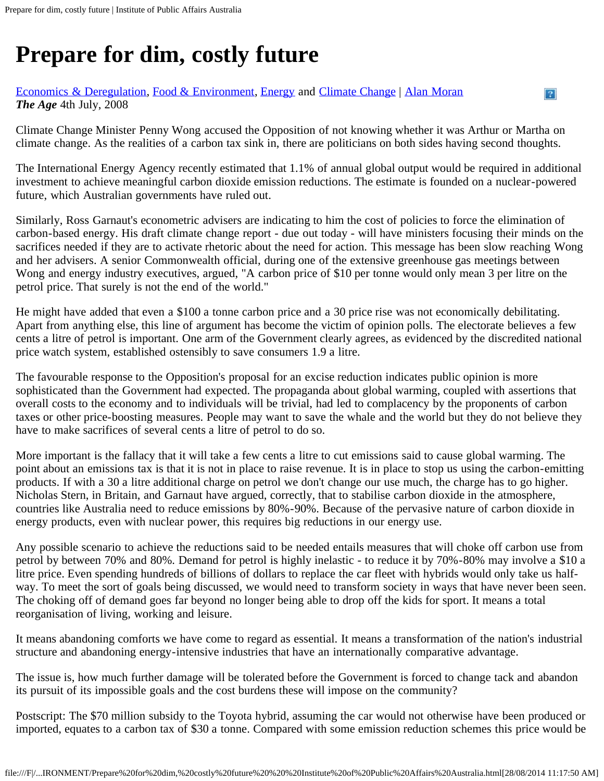# **Prepare for dim, costly future**

#### [Economics & Deregulation,](https://ipa.org.au/sectors/economics-deregulation/controller/sectors) [Food & Environment,](https://ipa.org.au/sectors/food-environment/controller/sectors) [Energy](https://ipa.org.au/sectors/energy/controller/sectors) and [Climate Change](https://ipa.org.au/sectors/climate-change/controller/sectors) | [Alan Moran](https://ipa.org.au/people/alan-moran) *The Age* 4th July, 2008

Climate Change Minister Penny Wong accused the Opposition of not knowing whether it was Arthur or Martha on climate change. As the realities of a carbon tax sink in, there are politicians on both sides having second thoughts.

 $\overline{P}$ 

The International Energy Agency recently estimated that 1.1% of annual global output would be required in additional investment to achieve meaningful carbon dioxide emission reductions. The estimate is founded on a nuclear-powered future, which Australian governments have ruled out.

Similarly, Ross Garnaut's econometric advisers are indicating to him the cost of policies to force the elimination of carbon-based energy. His draft climate change report - due out today - will have ministers focusing their minds on the sacrifices needed if they are to activate rhetoric about the need for action. This message has been slow reaching Wong and her advisers. A senior Commonwealth official, during one of the extensive greenhouse gas meetings between Wong and energy industry executives, argued, "A carbon price of \$10 per tonne would only mean 3 per litre on the petrol price. That surely is not the end of the world."

He might have added that even a \$100 a tonne carbon price and a 30 price rise was not economically debilitating. Apart from anything else, this line of argument has become the victim of opinion polls. The electorate believes a few cents a litre of petrol is important. One arm of the Government clearly agrees, as evidenced by the discredited national price watch system, established ostensibly to save consumers 1.9 a litre.

The favourable response to the Opposition's proposal for an excise reduction indicates public opinion is more sophisticated than the Government had expected. The propaganda about global warming, coupled with assertions that overall costs to the economy and to individuals will be trivial, had led to complacency by the proponents of carbon taxes or other price-boosting measures. People may want to save the whale and the world but they do not believe they have to make sacrifices of several cents a litre of petrol to do so.

More important is the fallacy that it will take a few cents a litre to cut emissions said to cause global warming. The point about an emissions tax is that it is not in place to raise revenue. It is in place to stop us using the carbon-emitting products. If with a 30 a litre additional charge on petrol we don't change our use much, the charge has to go higher. Nicholas Stern, in Britain, and Garnaut have argued, correctly, that to stabilise carbon dioxide in the atmosphere, countries like Australia need to reduce emissions by 80%-90%. Because of the pervasive nature of carbon dioxide in energy products, even with nuclear power, this requires big reductions in our energy use.

Any possible scenario to achieve the reductions said to be needed entails measures that will choke off carbon use from petrol by between 70% and 80%. Demand for petrol is highly inelastic - to reduce it by 70%-80% may involve a \$10 a litre price. Even spending hundreds of billions of dollars to replace the car fleet with hybrids would only take us halfway. To meet the sort of goals being discussed, we would need to transform society in ways that have never been seen. The choking off of demand goes far beyond no longer being able to drop off the kids for sport. It means a total reorganisation of living, working and leisure.

It means abandoning comforts we have come to regard as essential. It means a transformation of the nation's industrial structure and abandoning energy-intensive industries that have an internationally comparative advantage.

The issue is, how much further damage will be tolerated before the Government is forced to change tack and abandon its pursuit of its impossible goals and the cost burdens these will impose on the community?

Postscript: The \$70 million subsidy to the Toyota hybrid, assuming the car would not otherwise have been produced or imported, equates to a carbon tax of \$30 a tonne. Compared with some emission reduction schemes this price would be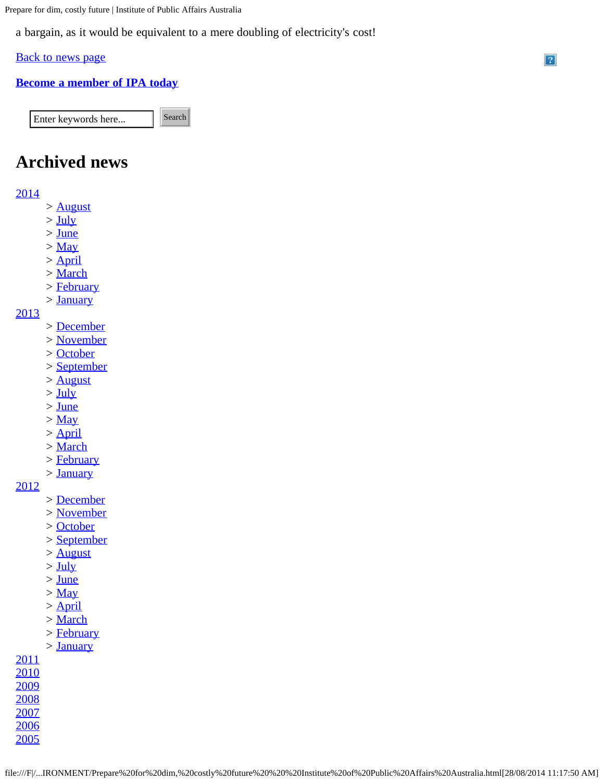Prepare for dim, costly future | Institute of Public Affairs Australia

a bargain, as it would be equivalent to a mere doubling of electricity's cost!

### **[Back to news page](https://ipa.org.au/news/index/pg/25)**

# **[Become a member of IPA today](https://ipa.org.au/payment/member)**

Enter keywords here... Search

# **Archived news**

## [2014](https://ipa.org.au/news/index/year/2014)

- *>* [August](https://ipa.org.au/news/index/year/2014/month/8)
- *>* [July](https://ipa.org.au/news/index/year/2014/month/7)
- *>* [June](https://ipa.org.au/news/index/year/2014/month/6)
- *>* [May](https://ipa.org.au/news/index/year/2014/month/5)
- *>* [April](https://ipa.org.au/news/index/year/2014/month/4)
- *>* [March](https://ipa.org.au/news/index/year/2014/month/3)
- *>* [February](https://ipa.org.au/news/index/year/2014/month/2)
- *>* [January](https://ipa.org.au/news/index/year/2014/month/1)

#### [2013](https://ipa.org.au/news/index/year/2013)

- *>* [December](https://ipa.org.au/news/index/year/2013/month/12)
- *>* [November](https://ipa.org.au/news/index/year/2013/month/11)
- *>* [October](https://ipa.org.au/news/index/year/2013/month/10)
- *>* [September](https://ipa.org.au/news/index/year/2013/month/9)
- *>* [August](https://ipa.org.au/news/index/year/2013/month/8)
- *>* [July](https://ipa.org.au/news/index/year/2013/month/7)
- *>* [June](https://ipa.org.au/news/index/year/2013/month/6)
- *>* [May](https://ipa.org.au/news/index/year/2013/month/5)
- *>* [April](https://ipa.org.au/news/index/year/2013/month/4)
- *>* [March](https://ipa.org.au/news/index/year/2013/month/3)
- *>* [February](https://ipa.org.au/news/index/year/2013/month/2)
- *>* [January](https://ipa.org.au/news/index/year/2013/month/1)

#### [2012](https://ipa.org.au/news/index/year/2012)

- *>* [December](https://ipa.org.au/news/index/year/2012/month/12)
- *>* [November](https://ipa.org.au/news/index/year/2012/month/11)
- *>* [October](https://ipa.org.au/news/index/year/2012/month/10)
- *>* [September](https://ipa.org.au/news/index/year/2012/month/9)
- *>* [August](https://ipa.org.au/news/index/year/2012/month/8)
- *>* [July](https://ipa.org.au/news/index/year/2012/month/7)
- *>* [June](https://ipa.org.au/news/index/year/2012/month/6)
- *>* [May](https://ipa.org.au/news/index/year/2012/month/5)
- *>* [April](https://ipa.org.au/news/index/year/2012/month/4)
- *>* [March](https://ipa.org.au/news/index/year/2012/month/3)
- *>* [February](https://ipa.org.au/news/index/year/2012/month/2)
- *>* [January](https://ipa.org.au/news/index/year/2012/month/1)

#### [2011](https://ipa.org.au/news/index/year/2011)

[2006](https://ipa.org.au/news/index/year/2006) [2005](https://ipa.org.au/news/index/year/2005)  $\overline{?}$